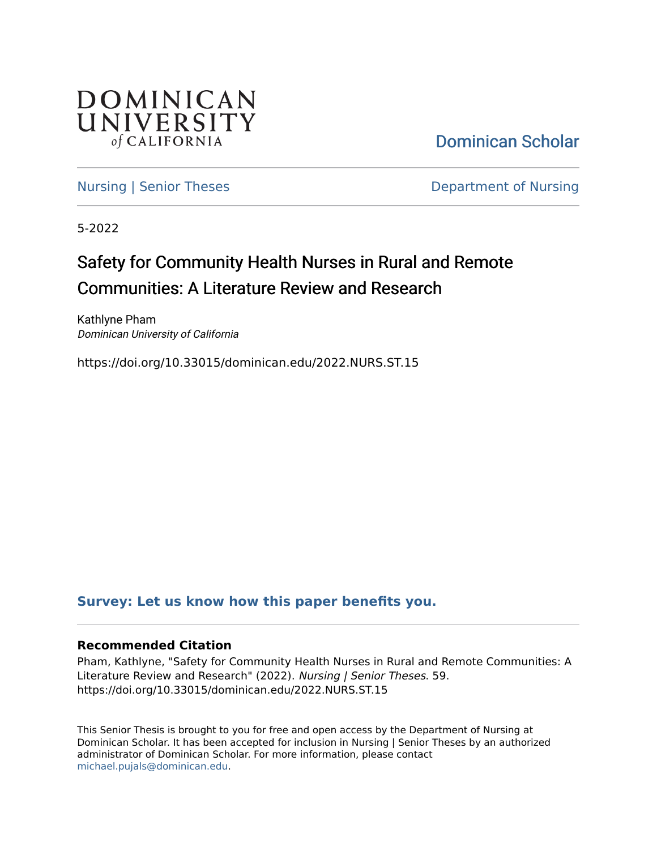

[Dominican Scholar](https://scholar.dominican.edu/) 

[Nursing | Senior Theses](https://scholar.dominican.edu/nursing-senior-theses) **Department of Nursing** 

5-2022

# Safety for Community Health Nurses in Rural and Remote Communities: A Literature Review and Research

Kathlyne Pham Dominican University of California

https://doi.org/10.33015/dominican.edu/2022.NURS.ST.15

### **[Survey: Let us know how this paper benefits you.](https://dominican.libwizard.com/dominican-scholar-feedback)**

#### **Recommended Citation**

Pham, Kathlyne, "Safety for Community Health Nurses in Rural and Remote Communities: A Literature Review and Research" (2022). Nursing | Senior Theses. 59. https://doi.org/10.33015/dominican.edu/2022.NURS.ST.15

This Senior Thesis is brought to you for free and open access by the Department of Nursing at Dominican Scholar. It has been accepted for inclusion in Nursing | Senior Theses by an authorized administrator of Dominican Scholar. For more information, please contact [michael.pujals@dominican.edu.](mailto:michael.pujals@dominican.edu)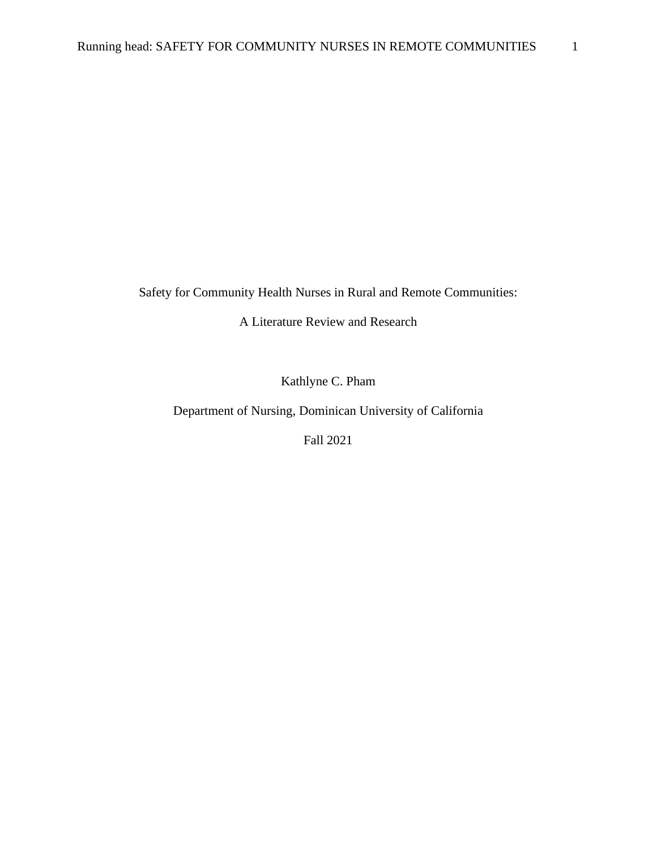Safety for Community Health Nurses in Rural and Remote Communities:

A Literature Review and Research

Kathlyne C. Pham

Department of Nursing, Dominican University of California

Fall 2021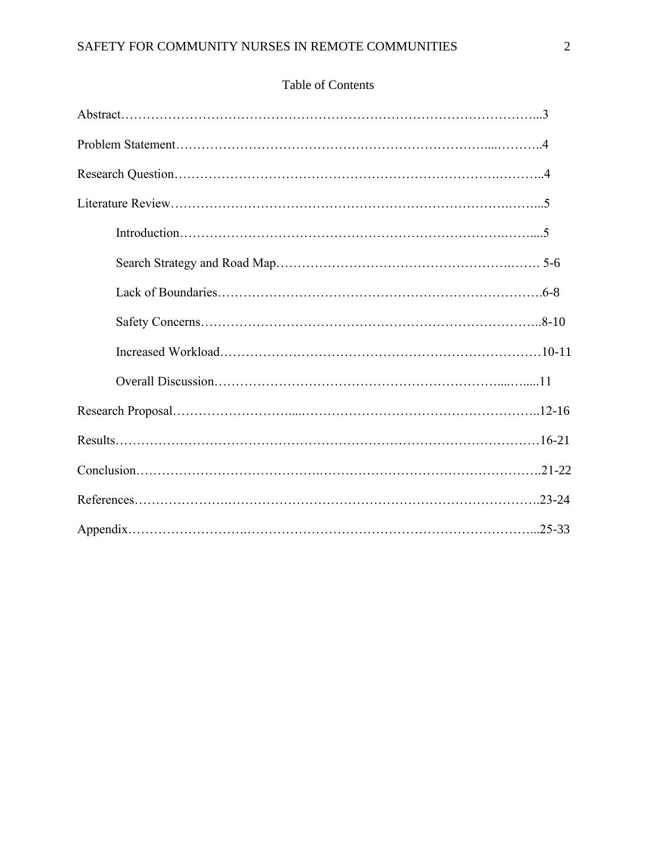## Table of Contents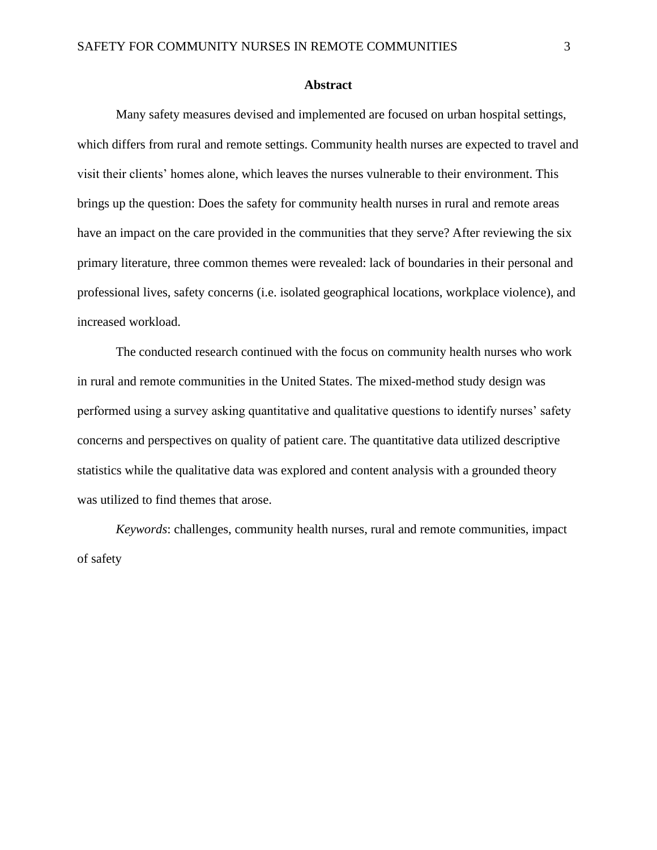#### **Abstract**

Many safety measures devised and implemented are focused on urban hospital settings, which differs from rural and remote settings. Community health nurses are expected to travel and visit their clients' homes alone, which leaves the nurses vulnerable to their environment. This brings up the question: Does the safety for community health nurses in rural and remote areas have an impact on the care provided in the communities that they serve? After reviewing the six primary literature, three common themes were revealed: lack of boundaries in their personal and professional lives, safety concerns (i.e. isolated geographical locations, workplace violence), and increased workload.

The conducted research continued with the focus on community health nurses who work in rural and remote communities in the United States. The mixed-method study design was performed using a survey asking quantitative and qualitative questions to identify nurses' safety concerns and perspectives on quality of patient care. The quantitative data utilized descriptive statistics while the qualitative data was explored and content analysis with a grounded theory was utilized to find themes that arose.

*Keywords*: challenges, community health nurses, rural and remote communities, impact of safety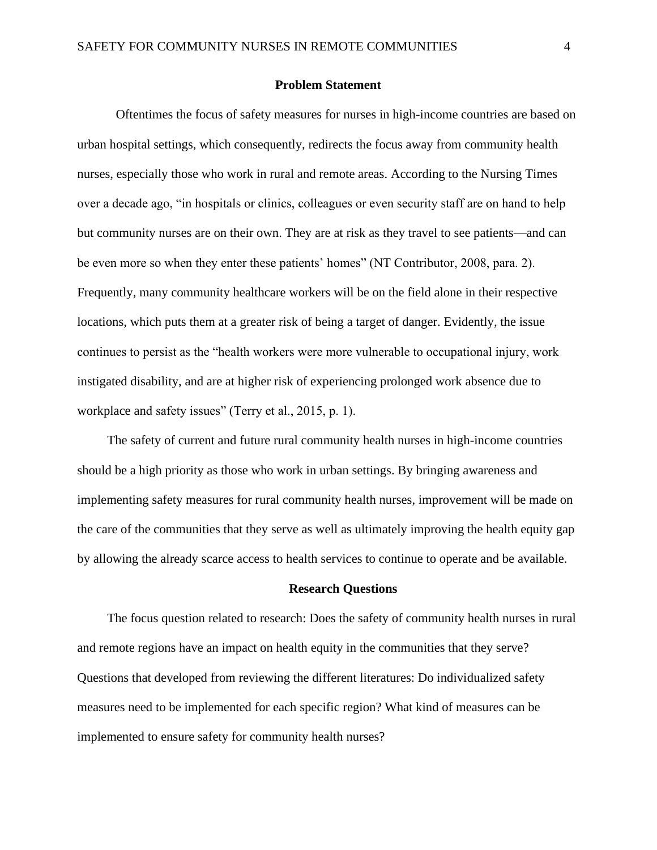#### **Problem Statement**

 Oftentimes the focus of safety measures for nurses in high-income countries are based on urban hospital settings, which consequently, redirects the focus away from community health nurses, especially those who work in rural and remote areas. According to the Nursing Times over a decade ago, "in hospitals or clinics, colleagues or even security staff are on hand to help but community nurses are on their own. They are at risk as they travel to see patients—and can be even more so when they enter these patients' homes" (NT Contributor, 2008, para. 2). Frequently, many community healthcare workers will be on the field alone in their respective locations, which puts them at a greater risk of being a target of danger. Evidently, the issue continues to persist as the "health workers were more vulnerable to occupational injury, work instigated disability, and are at higher risk of experiencing prolonged work absence due to workplace and safety issues" (Terry et al., 2015, p. 1).

The safety of current and future rural community health nurses in high-income countries should be a high priority as those who work in urban settings. By bringing awareness and implementing safety measures for rural community health nurses, improvement will be made on the care of the communities that they serve as well as ultimately improving the health equity gap by allowing the already scarce access to health services to continue to operate and be available.

#### **Research Questions**

The focus question related to research: Does the safety of community health nurses in rural and remote regions have an impact on health equity in the communities that they serve? Questions that developed from reviewing the different literatures: Do individualized safety measures need to be implemented for each specific region? What kind of measures can be implemented to ensure safety for community health nurses?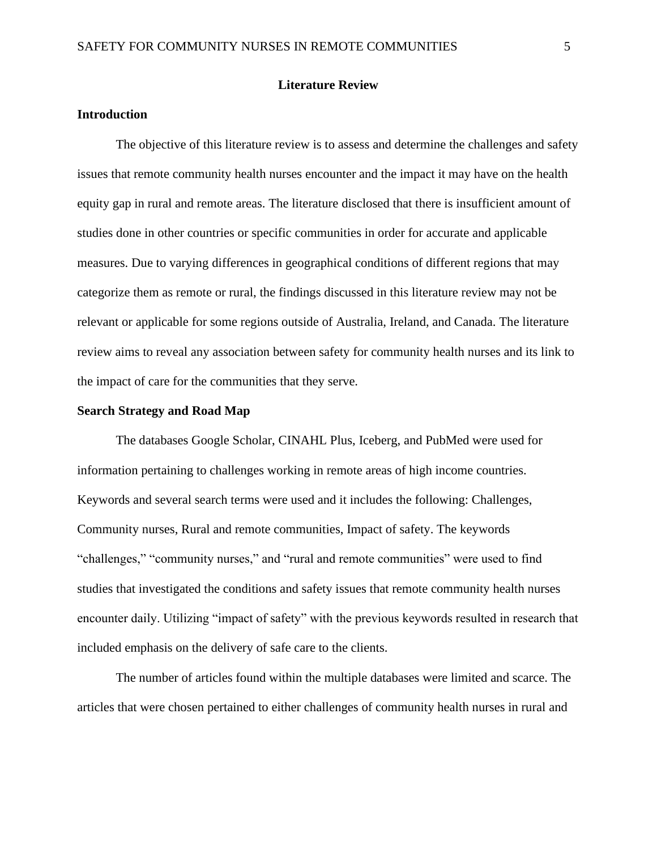#### **Literature Review**

#### **Introduction**

The objective of this literature review is to assess and determine the challenges and safety issues that remote community health nurses encounter and the impact it may have on the health equity gap in rural and remote areas. The literature disclosed that there is insufficient amount of studies done in other countries or specific communities in order for accurate and applicable measures. Due to varying differences in geographical conditions of different regions that may categorize them as remote or rural, the findings discussed in this literature review may not be relevant or applicable for some regions outside of Australia, Ireland, and Canada. The literature review aims to reveal any association between safety for community health nurses and its link to the impact of care for the communities that they serve.

#### **Search Strategy and Road Map**

The databases Google Scholar, CINAHL Plus, Iceberg, and PubMed were used for information pertaining to challenges working in remote areas of high income countries. Keywords and several search terms were used and it includes the following: Challenges, Community nurses, Rural and remote communities, Impact of safety. The keywords "challenges," "community nurses," and "rural and remote communities" were used to find studies that investigated the conditions and safety issues that remote community health nurses encounter daily. Utilizing "impact of safety" with the previous keywords resulted in research that included emphasis on the delivery of safe care to the clients.

The number of articles found within the multiple databases were limited and scarce. The articles that were chosen pertained to either challenges of community health nurses in rural and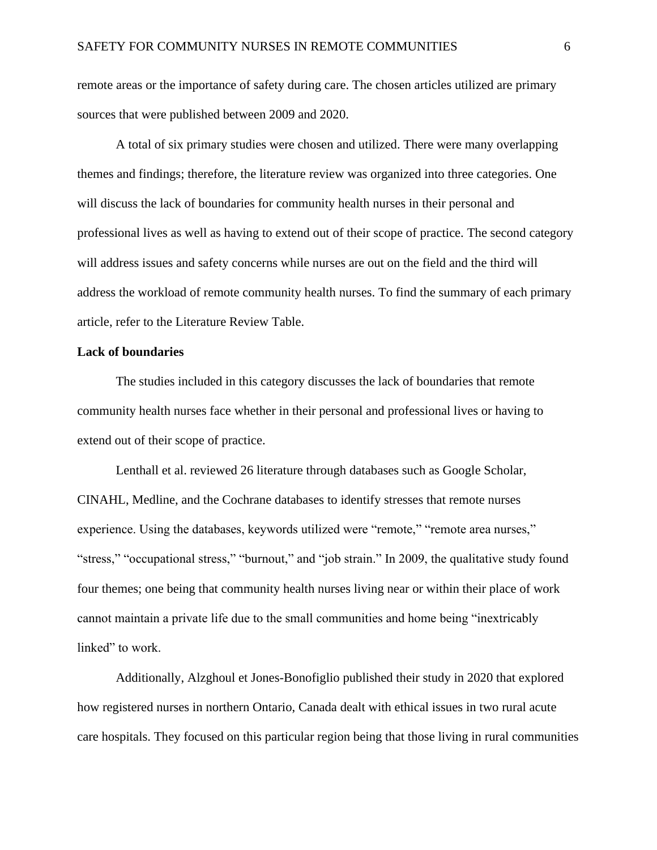remote areas or the importance of safety during care. The chosen articles utilized are primary sources that were published between 2009 and 2020.

A total of six primary studies were chosen and utilized. There were many overlapping themes and findings; therefore, the literature review was organized into three categories. One will discuss the lack of boundaries for community health nurses in their personal and professional lives as well as having to extend out of their scope of practice. The second category will address issues and safety concerns while nurses are out on the field and the third will address the workload of remote community health nurses. To find the summary of each primary article, refer to the Literature Review Table.

#### **Lack of boundaries**

The studies included in this category discusses the lack of boundaries that remote community health nurses face whether in their personal and professional lives or having to extend out of their scope of practice.

Lenthall et al. reviewed 26 literature through databases such as Google Scholar, CINAHL, Medline, and the Cochrane databases to identify stresses that remote nurses experience. Using the databases, keywords utilized were "remote," "remote area nurses," "stress," "occupational stress," "burnout," and "job strain." In 2009, the qualitative study found four themes; one being that community health nurses living near or within their place of work cannot maintain a private life due to the small communities and home being "inextricably linked" to work.

Additionally, Alzghoul et Jones-Bonofiglio published their study in 2020 that explored how registered nurses in northern Ontario, Canada dealt with ethical issues in two rural acute care hospitals. They focused on this particular region being that those living in rural communities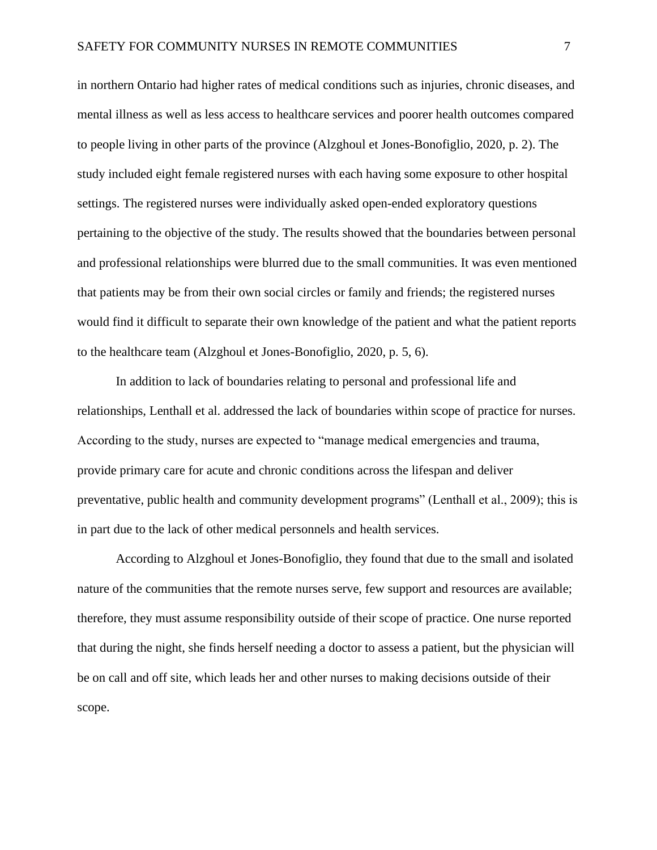in northern Ontario had higher rates of medical conditions such as injuries, chronic diseases, and mental illness as well as less access to healthcare services and poorer health outcomes compared to people living in other parts of the province (Alzghoul et Jones-Bonofiglio, 2020, p. 2). The study included eight female registered nurses with each having some exposure to other hospital settings. The registered nurses were individually asked open-ended exploratory questions pertaining to the objective of the study. The results showed that the boundaries between personal and professional relationships were blurred due to the small communities. It was even mentioned that patients may be from their own social circles or family and friends; the registered nurses would find it difficult to separate their own knowledge of the patient and what the patient reports to the healthcare team (Alzghoul et Jones-Bonofiglio, 2020, p. 5, 6).

In addition to lack of boundaries relating to personal and professional life and relationships, Lenthall et al. addressed the lack of boundaries within scope of practice for nurses. According to the study, nurses are expected to "manage medical emergencies and trauma, provide primary care for acute and chronic conditions across the lifespan and deliver preventative, public health and community development programs" (Lenthall et al., 2009); this is in part due to the lack of other medical personnels and health services.

According to Alzghoul et Jones-Bonofiglio, they found that due to the small and isolated nature of the communities that the remote nurses serve, few support and resources are available; therefore, they must assume responsibility outside of their scope of practice. One nurse reported that during the night, she finds herself needing a doctor to assess a patient, but the physician will be on call and off site, which leads her and other nurses to making decisions outside of their scope.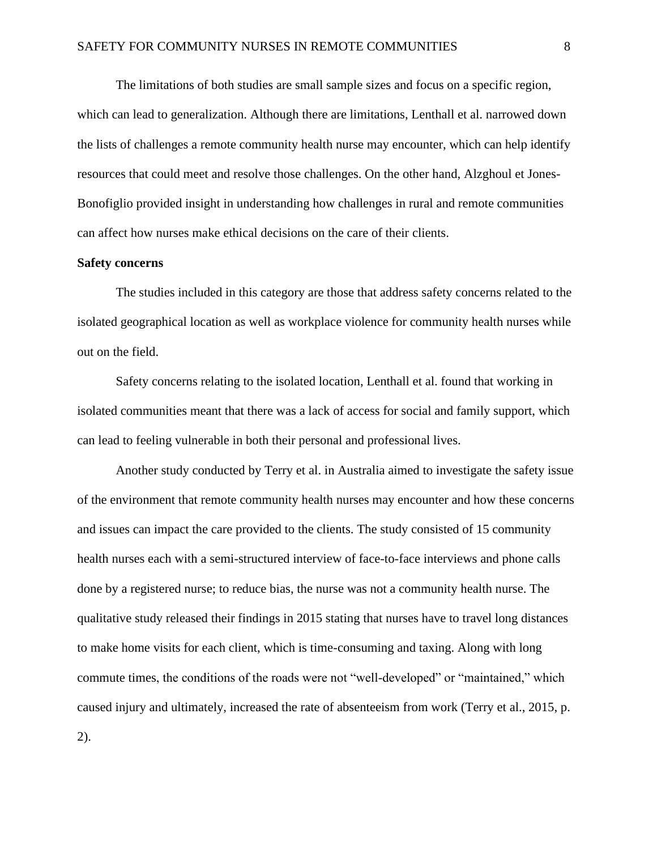The limitations of both studies are small sample sizes and focus on a specific region, which can lead to generalization. Although there are limitations, Lenthall et al. narrowed down the lists of challenges a remote community health nurse may encounter, which can help identify resources that could meet and resolve those challenges. On the other hand, Alzghoul et Jones-Bonofiglio provided insight in understanding how challenges in rural and remote communities can affect how nurses make ethical decisions on the care of their clients.

#### **Safety concerns**

The studies included in this category are those that address safety concerns related to the isolated geographical location as well as workplace violence for community health nurses while out on the field.

Safety concerns relating to the isolated location, Lenthall et al. found that working in isolated communities meant that there was a lack of access for social and family support, which can lead to feeling vulnerable in both their personal and professional lives.

Another study conducted by Terry et al. in Australia aimed to investigate the safety issue of the environment that remote community health nurses may encounter and how these concerns and issues can impact the care provided to the clients. The study consisted of 15 community health nurses each with a semi-structured interview of face-to-face interviews and phone calls done by a registered nurse; to reduce bias, the nurse was not a community health nurse. The qualitative study released their findings in 2015 stating that nurses have to travel long distances to make home visits for each client, which is time-consuming and taxing. Along with long commute times, the conditions of the roads were not "well-developed" or "maintained," which caused injury and ultimately, increased the rate of absenteeism from work (Terry et al., 2015, p. 2).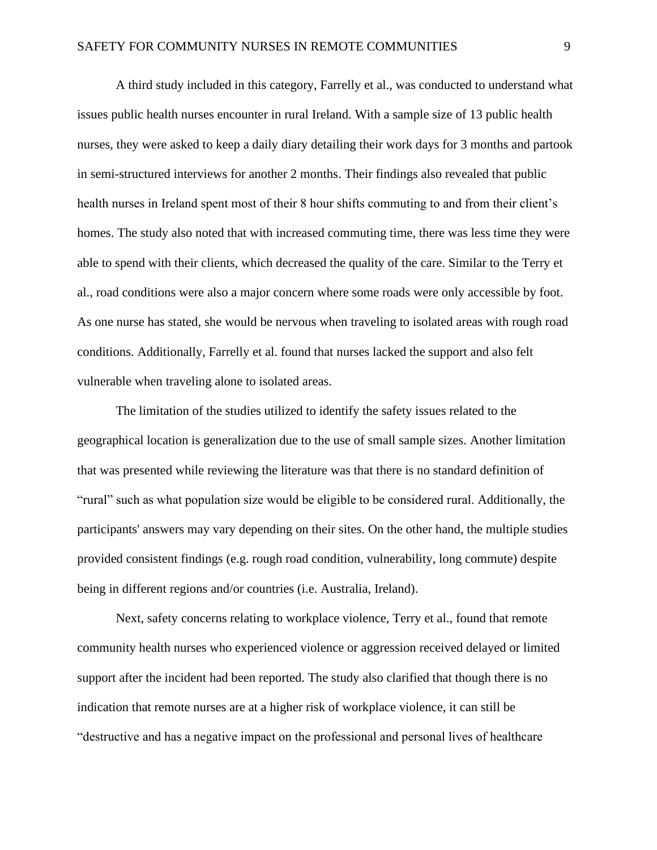A third study included in this category, Farrelly et al., was conducted to understand what issues public health nurses encounter in rural Ireland. With a sample size of 13 public health nurses, they were asked to keep a daily diary detailing their work days for 3 months and partook in semi-structured interviews for another 2 months. Their findings also revealed that public health nurses in Ireland spent most of their 8 hour shifts commuting to and from their client's homes. The study also noted that with increased commuting time, there was less time they were able to spend with their clients, which decreased the quality of the care. Similar to the Terry et al., road conditions were also a major concern where some roads were only accessible by foot. As one nurse has stated, she would be nervous when traveling to isolated areas with rough road conditions. Additionally, Farrelly et al. found that nurses lacked the support and also felt vulnerable when traveling alone to isolated areas.

The limitation of the studies utilized to identify the safety issues related to the geographical location is generalization due to the use of small sample sizes. Another limitation that was presented while reviewing the literature was that there is no standard definition of "rural" such as what population size would be eligible to be considered rural. Additionally, the participants' answers may vary depending on their sites. On the other hand, the multiple studies provided consistent findings (e.g. rough road condition, vulnerability, long commute) despite being in different regions and/or countries (i.e. Australia, Ireland).

Next, safety concerns relating to workplace violence, Terry et al., found that remote community health nurses who experienced violence or aggression received delayed or limited support after the incident had been reported. The study also clarified that though there is no indication that remote nurses are at a higher risk of workplace violence, it can still be "destructive and has a negative impact on the professional and personal lives of healthcare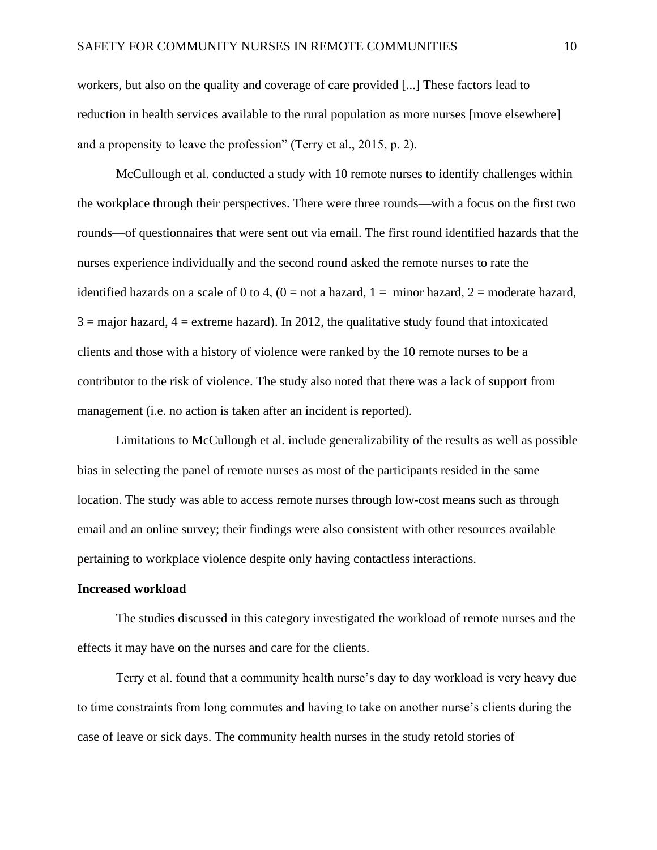workers, but also on the quality and coverage of care provided [...] These factors lead to reduction in health services available to the rural population as more nurses [move elsewhere] and a propensity to leave the profession" (Terry et al., 2015, p. 2).

McCullough et al. conducted a study with 10 remote nurses to identify challenges within the workplace through their perspectives. There were three rounds—with a focus on the first two rounds—of questionnaires that were sent out via email. The first round identified hazards that the nurses experience individually and the second round asked the remote nurses to rate the identified hazards on a scale of 0 to 4,  $(0 = not a hazard, 1 = minor hazard, 2 = moderate hazard,$  $3 =$  major hazard,  $4 =$  extreme hazard). In 2012, the qualitative study found that intoxicated clients and those with a history of violence were ranked by the 10 remote nurses to be a contributor to the risk of violence. The study also noted that there was a lack of support from management (i.e. no action is taken after an incident is reported).

Limitations to McCullough et al. include generalizability of the results as well as possible bias in selecting the panel of remote nurses as most of the participants resided in the same location. The study was able to access remote nurses through low-cost means such as through email and an online survey; their findings were also consistent with other resources available pertaining to workplace violence despite only having contactless interactions.

#### **Increased workload**

The studies discussed in this category investigated the workload of remote nurses and the effects it may have on the nurses and care for the clients.

Terry et al. found that a community health nurse's day to day workload is very heavy due to time constraints from long commutes and having to take on another nurse's clients during the case of leave or sick days. The community health nurses in the study retold stories of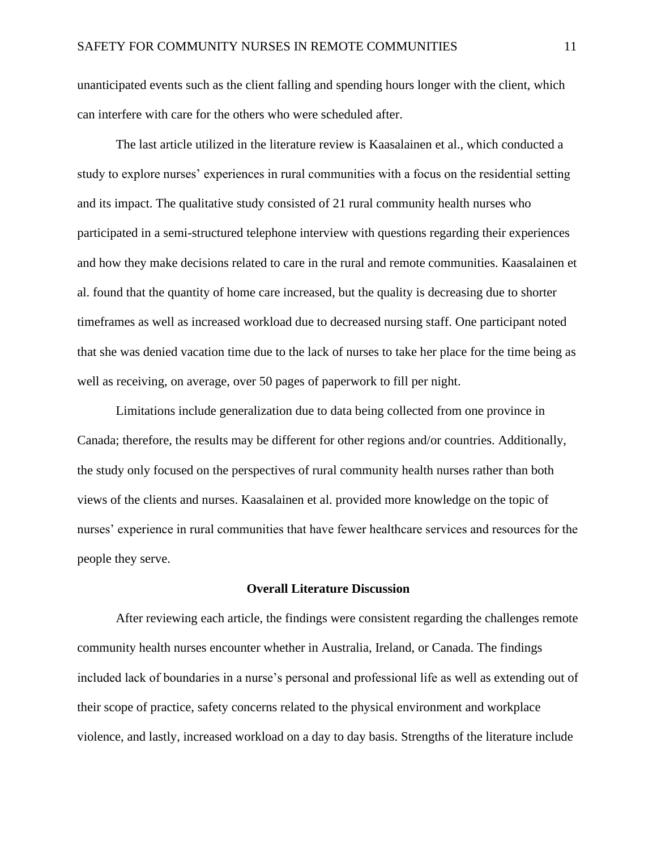unanticipated events such as the client falling and spending hours longer with the client, which can interfere with care for the others who were scheduled after.

The last article utilized in the literature review is Kaasalainen et al., which conducted a study to explore nurses' experiences in rural communities with a focus on the residential setting and its impact. The qualitative study consisted of 21 rural community health nurses who participated in a semi-structured telephone interview with questions regarding their experiences and how they make decisions related to care in the rural and remote communities. Kaasalainen et al. found that the quantity of home care increased, but the quality is decreasing due to shorter timeframes as well as increased workload due to decreased nursing staff. One participant noted that she was denied vacation time due to the lack of nurses to take her place for the time being as well as receiving, on average, over 50 pages of paperwork to fill per night.

Limitations include generalization due to data being collected from one province in Canada; therefore, the results may be different for other regions and/or countries. Additionally, the study only focused on the perspectives of rural community health nurses rather than both views of the clients and nurses. Kaasalainen et al. provided more knowledge on the topic of nurses' experience in rural communities that have fewer healthcare services and resources for the people they serve.

#### **Overall Literature Discussion**

After reviewing each article, the findings were consistent regarding the challenges remote community health nurses encounter whether in Australia, Ireland, or Canada. The findings included lack of boundaries in a nurse's personal and professional life as well as extending out of their scope of practice, safety concerns related to the physical environment and workplace violence, and lastly, increased workload on a day to day basis. Strengths of the literature include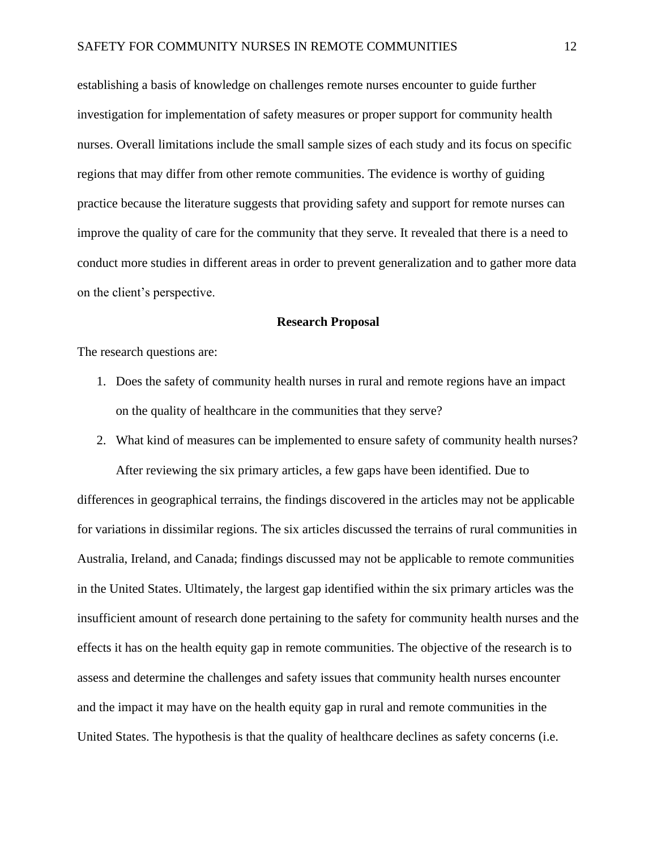establishing a basis of knowledge on challenges remote nurses encounter to guide further investigation for implementation of safety measures or proper support for community health nurses. Overall limitations include the small sample sizes of each study and its focus on specific regions that may differ from other remote communities. The evidence is worthy of guiding practice because the literature suggests that providing safety and support for remote nurses can improve the quality of care for the community that they serve. It revealed that there is a need to conduct more studies in different areas in order to prevent generalization and to gather more data on the client's perspective.

#### **Research Proposal**

The research questions are:

- 1. Does the safety of community health nurses in rural and remote regions have an impact on the quality of healthcare in the communities that they serve?
- 2. What kind of measures can be implemented to ensure safety of community health nurses? After reviewing the six primary articles, a few gaps have been identified. Due to differences in geographical terrains, the findings discovered in the articles may not be applicable for variations in dissimilar regions. The six articles discussed the terrains of rural communities in Australia, Ireland, and Canada; findings discussed may not be applicable to remote communities in the United States. Ultimately, the largest gap identified within the six primary articles was the insufficient amount of research done pertaining to the safety for community health nurses and the effects it has on the health equity gap in remote communities. The objective of the research is to assess and determine the challenges and safety issues that community health nurses encounter and the impact it may have on the health equity gap in rural and remote communities in the United States. The hypothesis is that the quality of healthcare declines as safety concerns (i.e.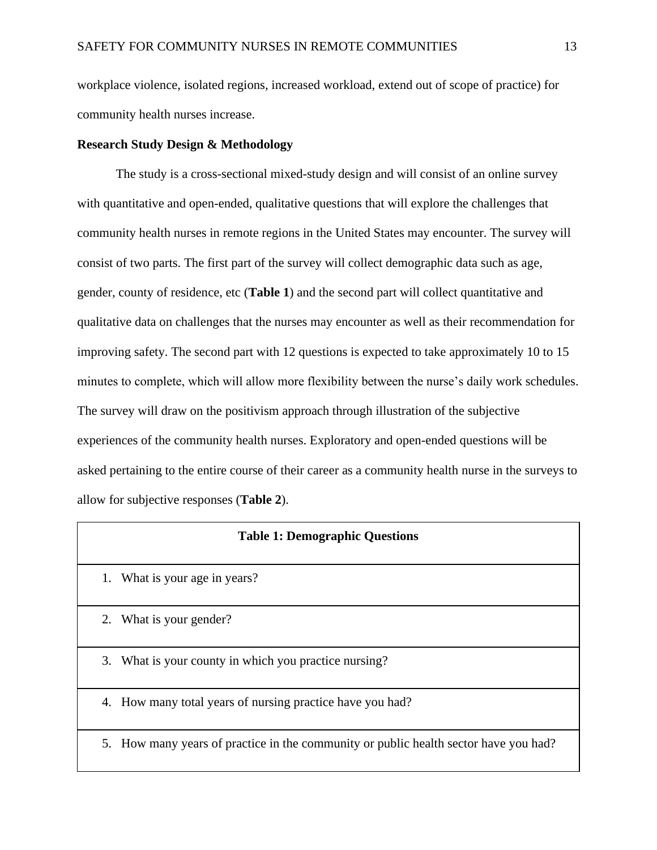workplace violence, isolated regions, increased workload, extend out of scope of practice) for community health nurses increase.

#### **Research Study Design & Methodology**

The study is a cross-sectional mixed-study design and will consist of an online survey with quantitative and open-ended, qualitative questions that will explore the challenges that community health nurses in remote regions in the United States may encounter. The survey will consist of two parts. The first part of the survey will collect demographic data such as age, gender, county of residence, etc (**Table 1**) and the second part will collect quantitative and qualitative data on challenges that the nurses may encounter as well as their recommendation for improving safety. The second part with 12 questions is expected to take approximately 10 to 15 minutes to complete, which will allow more flexibility between the nurse's daily work schedules. The survey will draw on the positivism approach through illustration of the subjective experiences of the community health nurses. Exploratory and open-ended questions will be asked pertaining to the entire course of their career as a community health nurse in the surveys to allow for subjective responses (**Table 2**).

#### **Table 1: Demographic Questions**

- 1. What is your age in years?
- 2. What is your gender?
- 3. What is your county in which you practice nursing?
- 4. How many total years of nursing practice have you had?
- 5. How many years of practice in the community or public health sector have you had?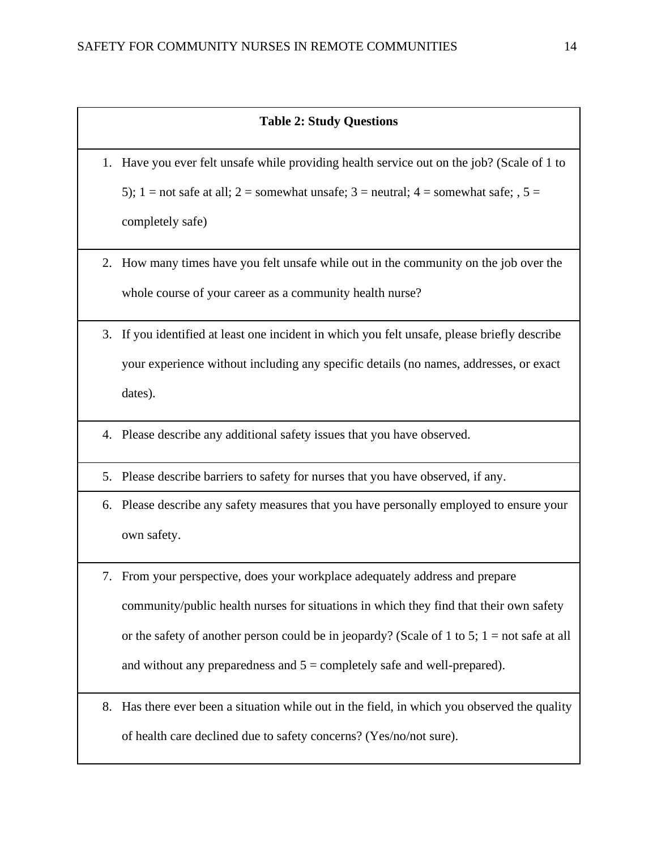#### **Table 2: Study Questions**

1. Have you ever felt unsafe while providing health service out on the job? (Scale of 1 to 5); 1 = not safe at all; 2 = somewhat unsafe; 3 = neutral; 4 = somewhat safe;  $, 5 =$ completely safe)

- 2. How many times have you felt unsafe while out in the community on the job over the whole course of your career as a community health nurse?
- 3. If you identified at least one incident in which you felt unsafe, please briefly describe your experience without including any specific details (no names, addresses, or exact dates).
- 4. Please describe any additional safety issues that you have observed.
- 5. Please describe barriers to safety for nurses that you have observed, if any.
- 6. Please describe any safety measures that you have personally employed to ensure your own safety.
- 7. From your perspective, does your workplace adequately address and prepare community/public health nurses for situations in which they find that their own safety or the safety of another person could be in jeopardy? (Scale of 1 to 5;  $1 =$  not safe at all and without any preparedness and  $5 =$  completely safe and well-prepared).
- 8. Has there ever been a situation while out in the field, in which you observed the quality of health care declined due to safety concerns? (Yes/no/not sure).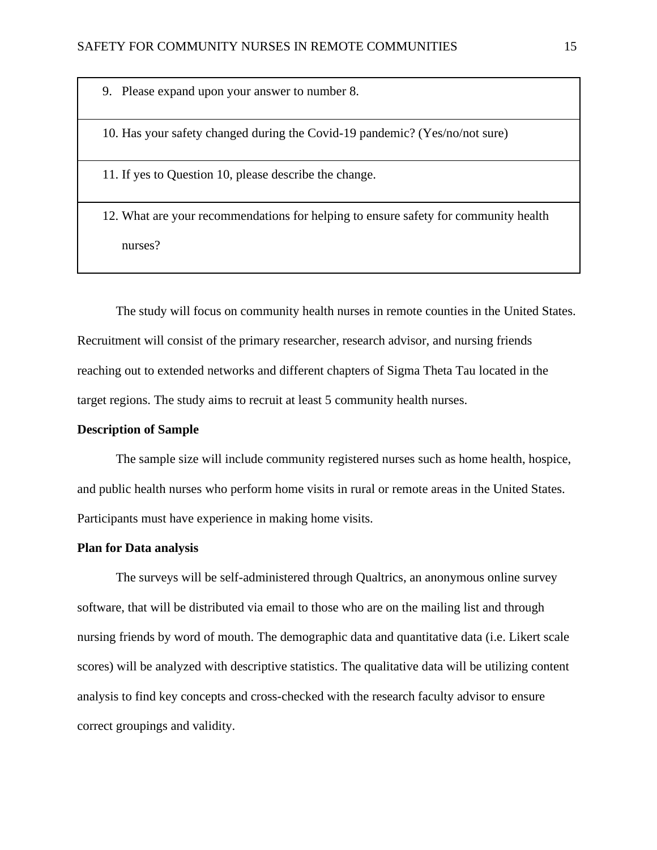9. Please expand upon your answer to number 8.

10. Has your safety changed during the Covid-19 pandemic? (Yes/no/not sure)

11. If yes to Question 10, please describe the change.

12. What are your recommendations for helping to ensure safety for community health nurses?

The study will focus on community health nurses in remote counties in the United States. Recruitment will consist of the primary researcher, research advisor, and nursing friends reaching out to extended networks and different chapters of Sigma Theta Tau located in the target regions. The study aims to recruit at least 5 community health nurses.

#### **Description of Sample**

The sample size will include community registered nurses such as home health, hospice, and public health nurses who perform home visits in rural or remote areas in the United States. Participants must have experience in making home visits.

#### **Plan for Data analysis**

The surveys will be self-administered through Qualtrics, an anonymous online survey software, that will be distributed via email to those who are on the mailing list and through nursing friends by word of mouth. The demographic data and quantitative data (i.e. Likert scale scores) will be analyzed with descriptive statistics. The qualitative data will be utilizing content analysis to find key concepts and cross-checked with the research faculty advisor to ensure correct groupings and validity.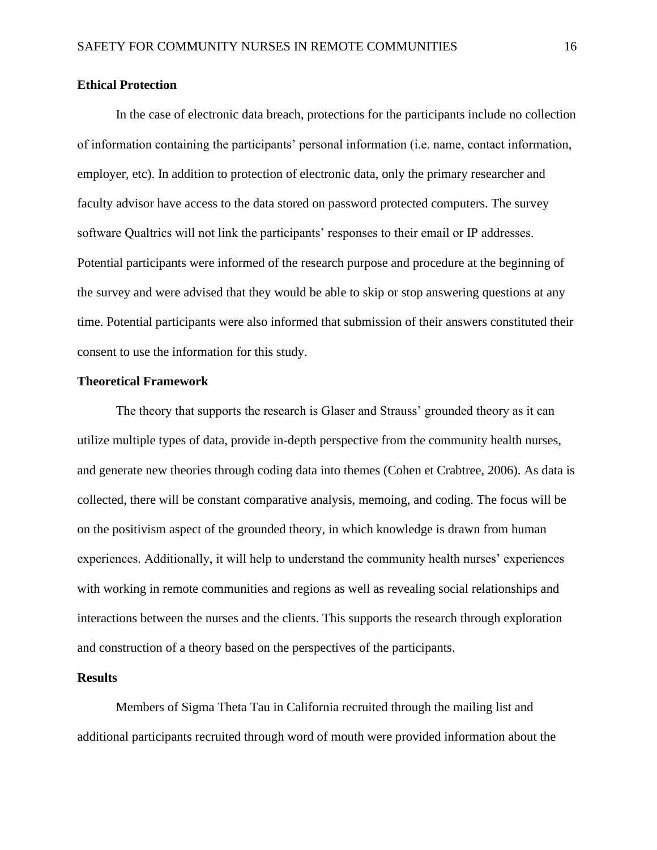#### **Ethical Protection**

In the case of electronic data breach, protections for the participants include no collection of information containing the participants' personal information (i.e. name, contact information, employer, etc). In addition to protection of electronic data, only the primary researcher and faculty advisor have access to the data stored on password protected computers. The survey software Qualtrics will not link the participants' responses to their email or IP addresses. Potential participants were informed of the research purpose and procedure at the beginning of the survey and were advised that they would be able to skip or stop answering questions at any time. Potential participants were also informed that submission of their answers constituted their consent to use the information for this study.

#### **Theoretical Framework**

The theory that supports the research is Glaser and Strauss' grounded theory as it can utilize multiple types of data, provide in-depth perspective from the community health nurses, and generate new theories through coding data into themes (Cohen et Crabtree, 2006). As data is collected, there will be constant comparative analysis, memoing, and coding. The focus will be on the positivism aspect of the grounded theory, in which knowledge is drawn from human experiences. Additionally, it will help to understand the community health nurses' experiences with working in remote communities and regions as well as revealing social relationships and interactions between the nurses and the clients. This supports the research through exploration and construction of a theory based on the perspectives of the participants.

#### **Results**

Members of Sigma Theta Tau in California recruited through the mailing list and additional participants recruited through word of mouth were provided information about the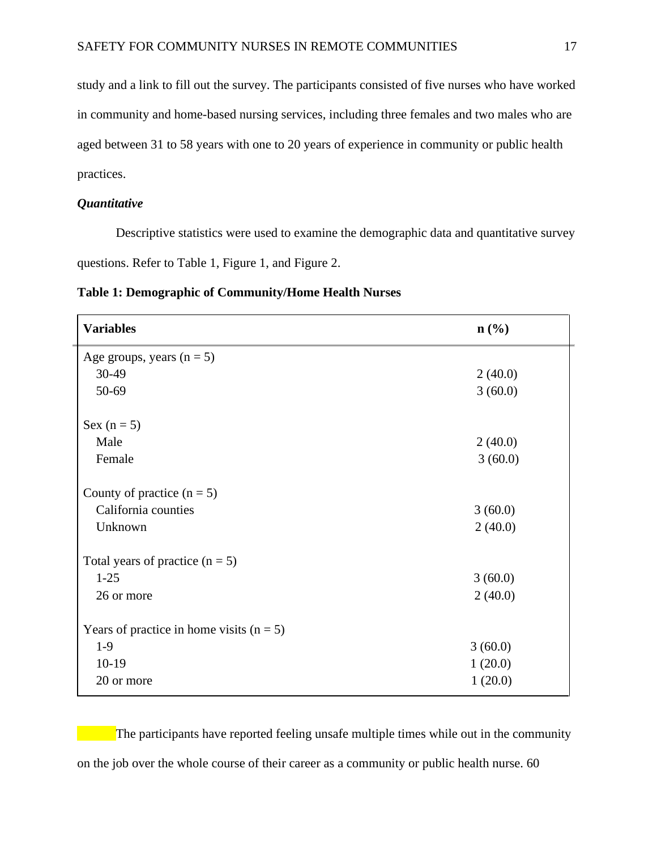study and a link to fill out the survey. The participants consisted of five nurses who have worked in community and home-based nursing services, including three females and two males who are aged between 31 to 58 years with one to 20 years of experience in community or public health practices.

#### *Quantitative*

Descriptive statistics were used to examine the demographic data and quantitative survey questions. Refer to Table 1, Figure 1, and Figure 2.

| <b>Variables</b>                           | $n\left(\frac{0}{0}\right)$ |
|--------------------------------------------|-----------------------------|
| Age groups, years $(n = 5)$                |                             |
| 30-49                                      | 2(40.0)                     |
| 50-69                                      | 3(60.0)                     |
| Sex $(n = 5)$                              |                             |
| Male                                       | 2(40.0)                     |
| Female                                     | 3(60.0)                     |
| County of practice $(n = 5)$               |                             |
| California counties                        | 3(60.0)                     |
| Unknown                                    | 2(40.0)                     |
| Total years of practice $(n = 5)$          |                             |
| $1-25$                                     | 3(60.0)                     |
| 26 or more                                 | 2(40.0)                     |
| Years of practice in home visits $(n = 5)$ |                             |
| $1-9$                                      | 3(60.0)                     |
| $10-19$                                    | 1(20.0)                     |
| 20 or more                                 | 1(20.0)                     |

**Table 1: Demographic of Community/Home Health Nurses** 

The participants have reported feeling unsafe multiple times while out in the community on the job over the whole course of their career as a community or public health nurse. 60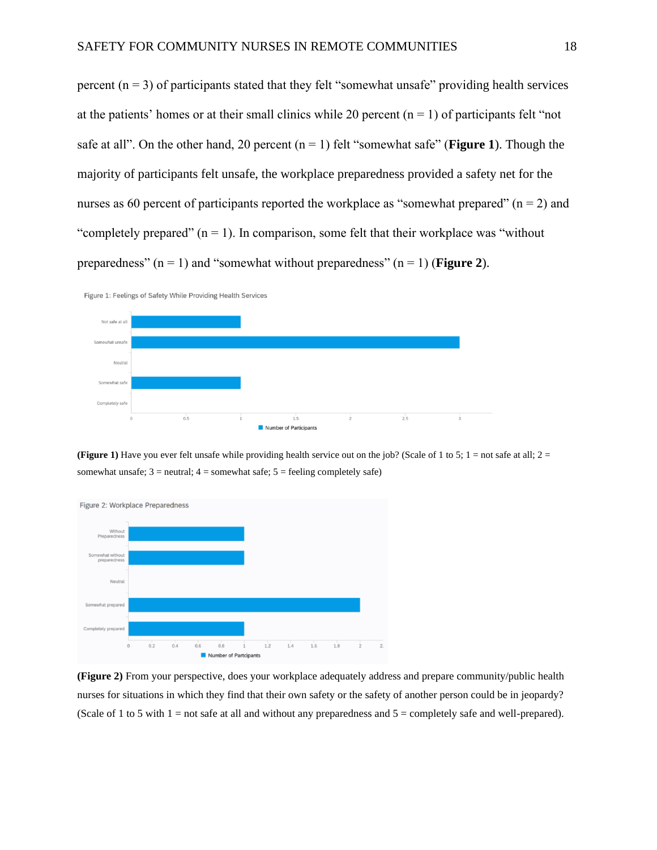percent  $(n = 3)$  of participants stated that they felt "somewhat unsafe" providing health services at the patients' homes or at their small clinics while 20 percent  $(n = 1)$  of participants felt "not safe at all". On the other hand, 20 percent  $(n = 1)$  felt "somewhat safe" (**Figure 1**). Though the majority of participants felt unsafe, the workplace preparedness provided a safety net for the nurses as 60 percent of participants reported the workplace as "somewhat prepared" ( $n = 2$ ) and "completely prepared"  $(n = 1)$ . In comparison, some felt that their workplace was "without" preparedness"  $(n = 1)$  and "somewhat without preparedness"  $(n = 1)$  (**Figure 2**).



**(Figure 1)** Have you ever felt unsafe while providing health service out on the job? (Scale of 1 to 5; 1 = not safe at all;  $2 =$ somewhat unsafe;  $3$  = neutral;  $4$  = somewhat safe;  $5$  = feeling completely safe)



**(Figure 2)** From your perspective, does your workplace adequately address and prepare community/public health nurses for situations in which they find that their own safety or the safety of another person could be in jeopardy? (Scale of 1 to 5 with  $1 =$  not safe at all and without any preparedness and  $5 =$  completely safe and well-prepared).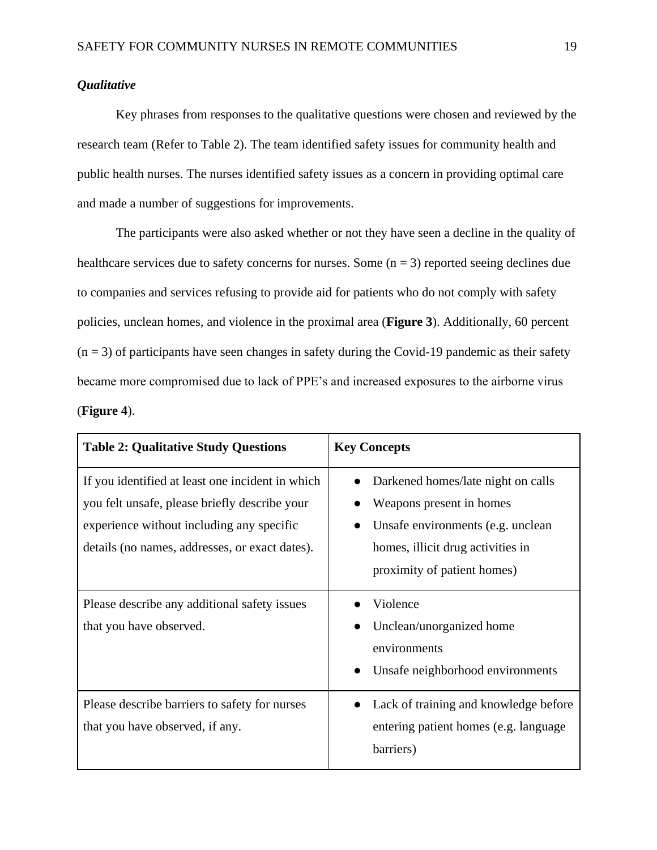#### *Qualitative*

Key phrases from responses to the qualitative questions were chosen and reviewed by the research team (Refer to Table 2). The team identified safety issues for community health and public health nurses. The nurses identified safety issues as a concern in providing optimal care and made a number of suggestions for improvements.

The participants were also asked whether or not they have seen a decline in the quality of healthcare services due to safety concerns for nurses. Some  $(n = 3)$  reported seeing declines due to companies and services refusing to provide aid for patients who do not comply with safety policies, unclean homes, and violence in the proximal area (**Figure 3**). Additionally, 60 percent  $(n = 3)$  of participants have seen changes in safety during the Covid-19 pandemic as their safety became more compromised due to lack of PPE's and increased exposures to the airborne virus (**Figure 4**).

| <b>Table 2: Qualitative Study Questions</b>                                                                                                                                                      | <b>Key Concepts</b>                                                                                                                                                     |
|--------------------------------------------------------------------------------------------------------------------------------------------------------------------------------------------------|-------------------------------------------------------------------------------------------------------------------------------------------------------------------------|
| If you identified at least one incident in which<br>you felt unsafe, please briefly describe your<br>experience without including any specific<br>details (no names, addresses, or exact dates). | Darkened homes/late night on calls<br>Weapons present in homes<br>Unsafe environments (e.g. unclean<br>homes, illicit drug activities in<br>proximity of patient homes) |
| Please describe any additional safety issues<br>that you have observed.                                                                                                                          | Violence<br>Unclean/unorganized home<br>environments<br>Unsafe neighborhood environments                                                                                |
| Please describe barriers to safety for nurses<br>that you have observed, if any.                                                                                                                 | Lack of training and knowledge before<br>entering patient homes (e.g. language)<br>barriers)                                                                            |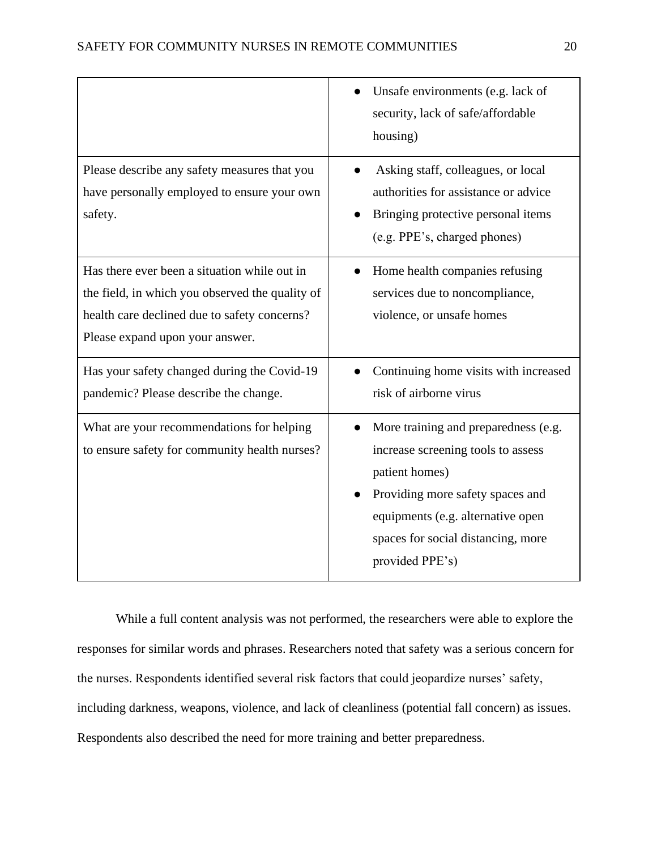|                                                                                                                                                                                    | Unsafe environments (e.g. lack of<br>security, lack of safe/affordable<br>housing)                                                                                                                                             |
|------------------------------------------------------------------------------------------------------------------------------------------------------------------------------------|--------------------------------------------------------------------------------------------------------------------------------------------------------------------------------------------------------------------------------|
| Please describe any safety measures that you<br>have personally employed to ensure your own<br>safety.                                                                             | Asking staff, colleagues, or local<br>authorities for assistance or advice<br>Bringing protective personal items<br>(e.g. PPE's, charged phones)                                                                               |
| Has there ever been a situation while out in<br>the field, in which you observed the quality of<br>health care declined due to safety concerns?<br>Please expand upon your answer. | Home health companies refusing<br>services due to noncompliance,<br>violence, or unsafe homes                                                                                                                                  |
| Has your safety changed during the Covid-19<br>pandemic? Please describe the change.                                                                                               | Continuing home visits with increased<br>risk of airborne virus                                                                                                                                                                |
| What are your recommendations for helping<br>to ensure safety for community health nurses?                                                                                         | More training and preparedness (e.g.<br>increase screening tools to assess<br>patient homes)<br>Providing more safety spaces and<br>equipments (e.g. alternative open<br>spaces for social distancing, more<br>provided PPE's) |

While a full content analysis was not performed, the researchers were able to explore the responses for similar words and phrases. Researchers noted that safety was a serious concern for the nurses. Respondents identified several risk factors that could jeopardize nurses' safety, including darkness, weapons, violence, and lack of cleanliness (potential fall concern) as issues. Respondents also described the need for more training and better preparedness.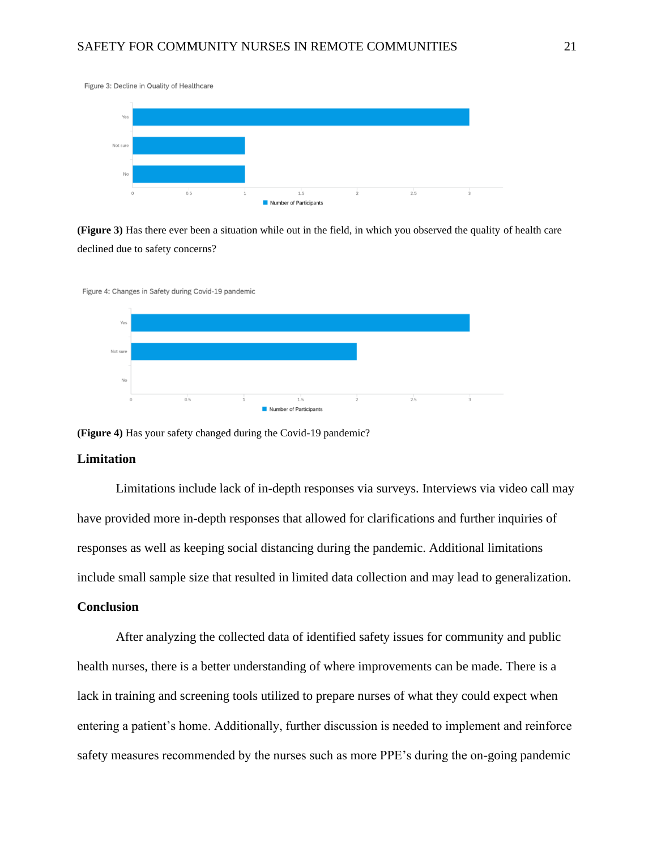Figure 3: Decline in Quality of Healthcare



**(Figure 3)** Has there ever been a situation while out in the field, in which you observed the quality of health care declined due to safety concerns?



**(Figure 4)** Has your safety changed during the Covid-19 pandemic?

#### **Limitation**

Limitations include lack of in-depth responses via surveys. Interviews via video call may have provided more in-depth responses that allowed for clarifications and further inquiries of responses as well as keeping social distancing during the pandemic. Additional limitations include small sample size that resulted in limited data collection and may lead to generalization.

#### **Conclusion**

After analyzing the collected data of identified safety issues for community and public health nurses, there is a better understanding of where improvements can be made. There is a lack in training and screening tools utilized to prepare nurses of what they could expect when entering a patient's home. Additionally, further discussion is needed to implement and reinforce safety measures recommended by the nurses such as more PPE's during the on-going pandemic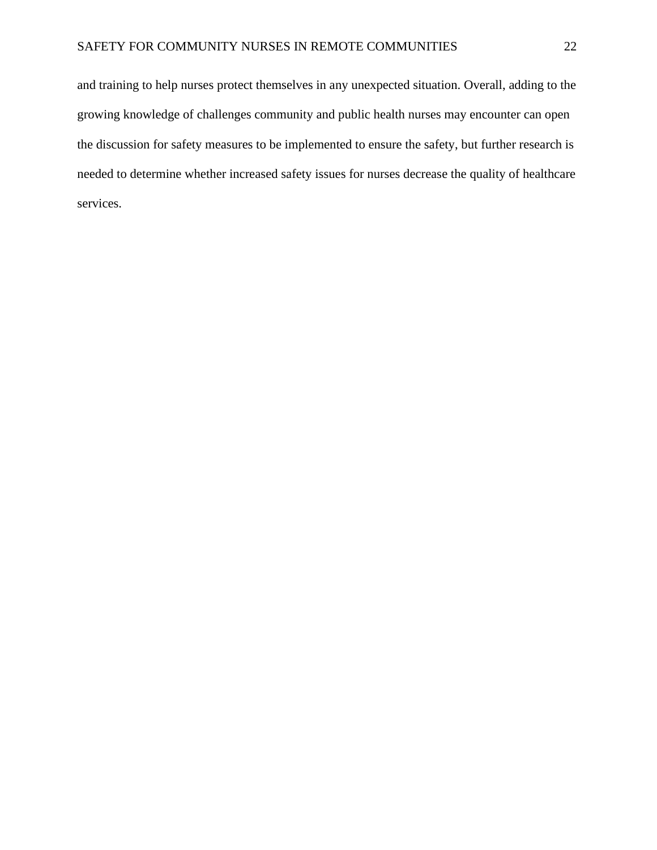and training to help nurses protect themselves in any unexpected situation. Overall, adding to the growing knowledge of challenges community and public health nurses may encounter can open the discussion for safety measures to be implemented to ensure the safety, but further research is needed to determine whether increased safety issues for nurses decrease the quality of healthcare services.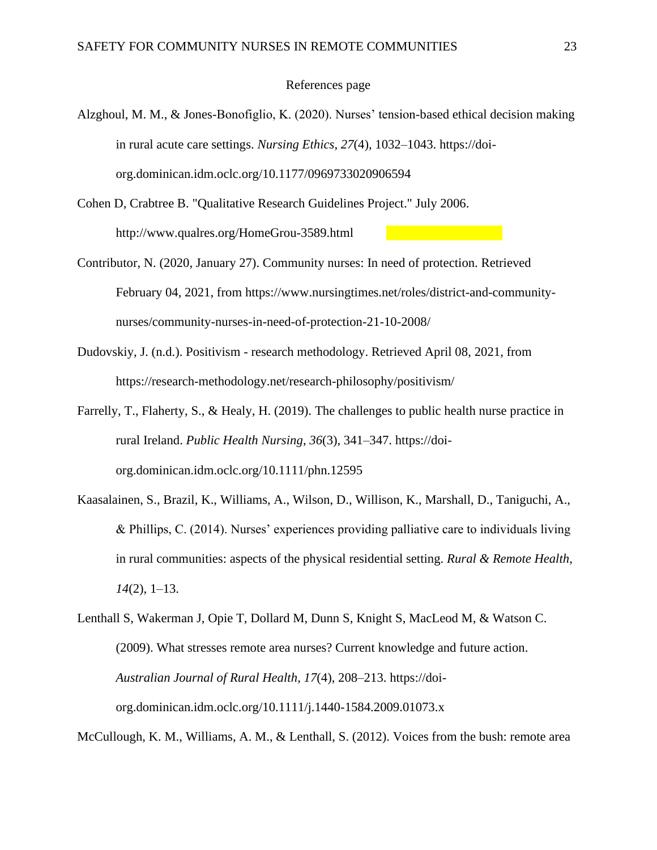#### References page

- Alzghoul, M. M., & Jones-Bonofiglio, K. (2020). Nurses' tension-based ethical decision making in rural acute care settings. *Nursing Ethics*, *27*(4), 1032–1043. https://doiorg.dominican.idm.oclc.org/10.1177/0969733020906594
- Cohen D, Crabtree B. "Qualitative Research Guidelines Project." July 2006. http://www.qualres.org/HomeGrou-3589.html
- Contributor, N. (2020, January 27). Community nurses: In need of protection. Retrieved February 04, 2021, from [https://www.nursingtimes.net/roles/district-and-community](https://www.nursingtimes.net/roles/district-and-community-nurses/community-nurses-in-need-of-protection-21-10-2008/)[nurses/community-nurses-in-need-of-protection-21-10-2008/](https://www.nursingtimes.net/roles/district-and-community-nurses/community-nurses-in-need-of-protection-21-10-2008/)
- Dudovskiy, J. (n.d.). Positivism research methodology. Retrieved April 08, 2021, from https://research-methodology.net/research-philosophy/positivism/
- Farrelly, T., Flaherty, S., & Healy, H. (2019). The challenges to public health nurse practice in rural Ireland. *Public Health Nursing*, *36*(3), 341–347. https://doiorg.dominican.idm.oclc.org/10.1111/phn.12595
- Kaasalainen, S., Brazil, K., Williams, A., Wilson, D., Willison, K., Marshall, D., Taniguchi, A., & Phillips, C. (2014). Nurses' experiences providing palliative care to individuals living in rural communities: aspects of the physical residential setting. *Rural & Remote Health*, *14*(2), 1–13.
- Lenthall S, Wakerman J, Opie T, Dollard M, Dunn S, Knight S, MacLeod M, & Watson C. (2009). What stresses remote area nurses? Current knowledge and future action. *Australian Journal of Rural Health*, *17*(4), 208–213. https://doiorg.dominican.idm.oclc.org/10.1111/j.1440-1584.2009.01073.x

McCullough, K. M., Williams, A. M., & Lenthall, S. (2012). Voices from the bush: remote area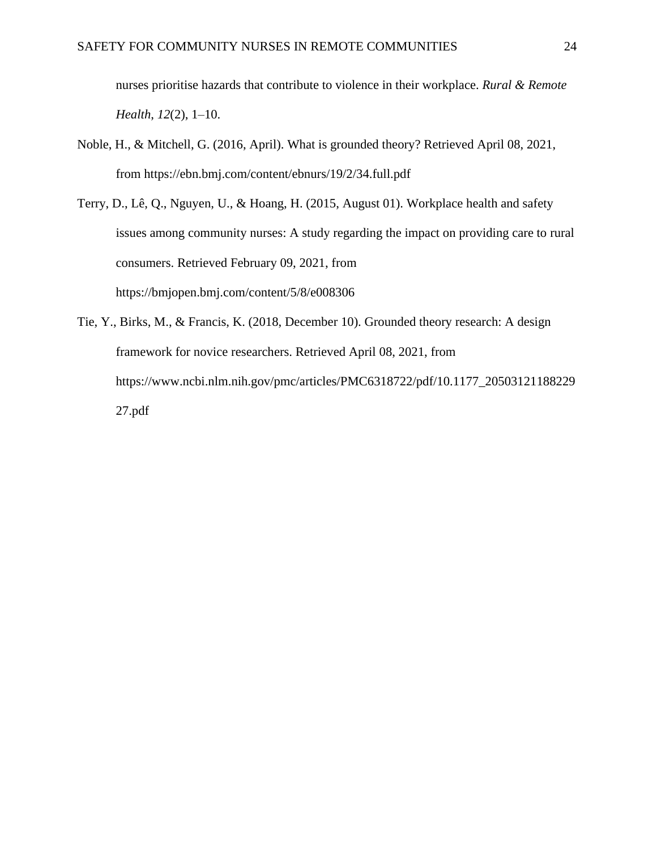nurses prioritise hazards that contribute to violence in their workplace. *Rural & Remote Health*, *12*(2), 1–10.

- Noble, H., & Mitchell, G. (2016, April). What is grounded theory? Retrieved April 08, 2021, from https://ebn.bmj.com/content/ebnurs/19/2/34.full.pdf
- Terry, D., Lê, Q., Nguyen, U., & Hoang, H. (2015, August 01). Workplace health and safety issues among community nurses: A study regarding the impact on providing care to rural consumers. Retrieved February 09, 2021, from https://bmjopen.bmj.com/content/5/8/e008306
- Tie, Y., Birks, M., & Francis, K. (2018, December 10). Grounded theory research: A design framework for novice researchers. Retrieved April 08, 2021, from https://www.ncbi.nlm.nih.gov/pmc/articles/PMC6318722/pdf/10.1177\_20503121188229 27.pdf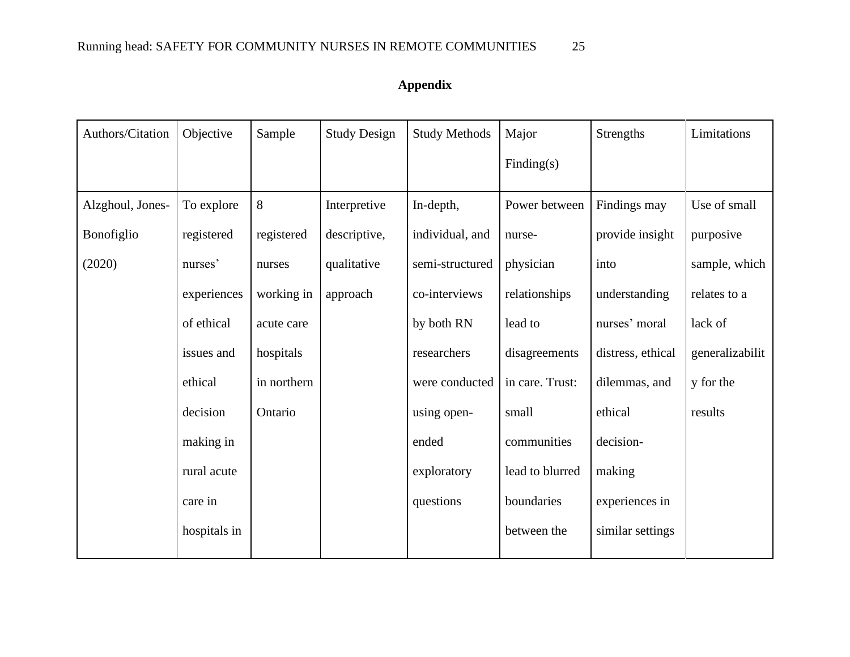## **Appendix**

| Authors/Citation | Objective    | Sample      | <b>Study Design</b> | <b>Study Methods</b> | Major           | <b>Strengths</b>  | Limitations     |
|------------------|--------------|-------------|---------------------|----------------------|-----------------|-------------------|-----------------|
|                  |              |             |                     |                      | Finding(s)      |                   |                 |
| Alzghoul, Jones- | To explore   | 8           | Interpretive        | In-depth,            | Power between   | Findings may      | Use of small    |
| Bonofiglio       | registered   | registered  | descriptive,        | individual, and      | nurse-          | provide insight   | purposive       |
| (2020)           | nurses'      | nurses      | qualitative         | semi-structured      | physician       | into              | sample, which   |
|                  | experiences  | working in  | approach            | co-interviews        | relationships   | understanding     | relates to a    |
|                  | of ethical   | acute care  |                     | by both RN           | lead to         | nurses' moral     | lack of         |
|                  | issues and   | hospitals   |                     | researchers          | disagreements   | distress, ethical | generalizabilit |
|                  | ethical      | in northern |                     | were conducted       | in care. Trust: | dilemmas, and     | y for the       |
|                  | decision     | Ontario     |                     | using open-          | small           | ethical           | results         |
|                  | making in    |             |                     | ended                | communities     | decision-         |                 |
|                  | rural acute  |             |                     | exploratory          | lead to blurred | making            |                 |
|                  | care in      |             |                     | questions            | boundaries      | experiences in    |                 |
|                  | hospitals in |             |                     |                      | between the     | similar settings  |                 |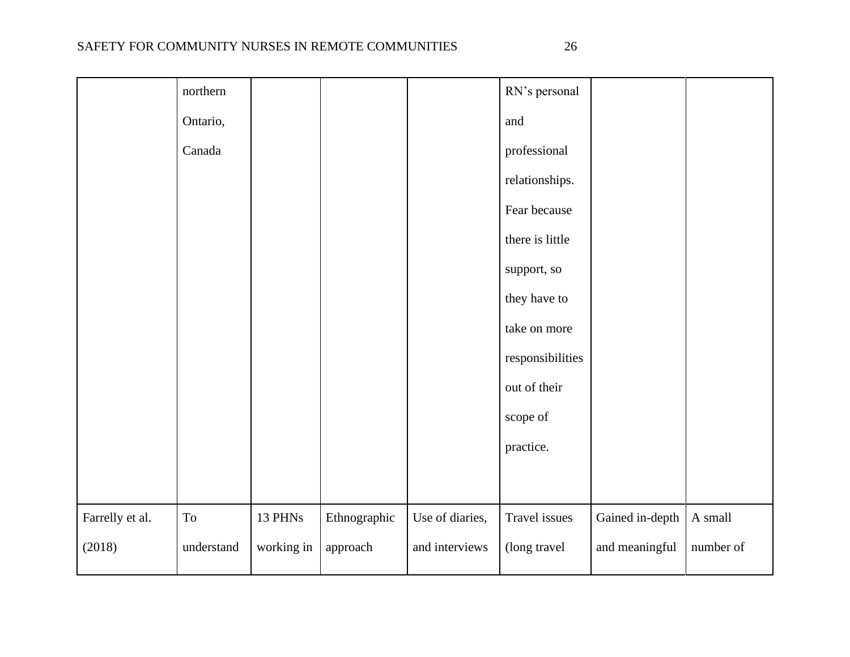| ×<br>v |  |
|--------|--|

|                 | northern            |            |              |                 | RN's personal    |                 |                        |
|-----------------|---------------------|------------|--------------|-----------------|------------------|-----------------|------------------------|
|                 | Ontario,            |            |              |                 | and              |                 |                        |
|                 | Canada              |            |              |                 | professional     |                 |                        |
|                 |                     |            |              |                 | relationships.   |                 |                        |
|                 |                     |            |              |                 | Fear because     |                 |                        |
|                 |                     |            |              |                 | there is little  |                 |                        |
|                 |                     |            |              |                 | support, so      |                 |                        |
|                 |                     |            |              |                 | they have to     |                 |                        |
|                 |                     |            |              |                 | take on more     |                 |                        |
|                 |                     |            |              |                 | responsibilities |                 |                        |
|                 |                     |            |              |                 | out of their     |                 |                        |
|                 |                     |            |              |                 | scope of         |                 |                        |
|                 |                     |            |              |                 | practice.        |                 |                        |
|                 |                     |            |              |                 |                  |                 |                        |
| Farrelly et al. | $\operatorname{To}$ | 13 PHNs    | Ethnographic | Use of diaries, | Travel issues    | Gained in-depth | $\boldsymbol{A}$ small |
| (2018)          | understand          | working in | approach     | and interviews  | (long travel     | and meaningful  | number of              |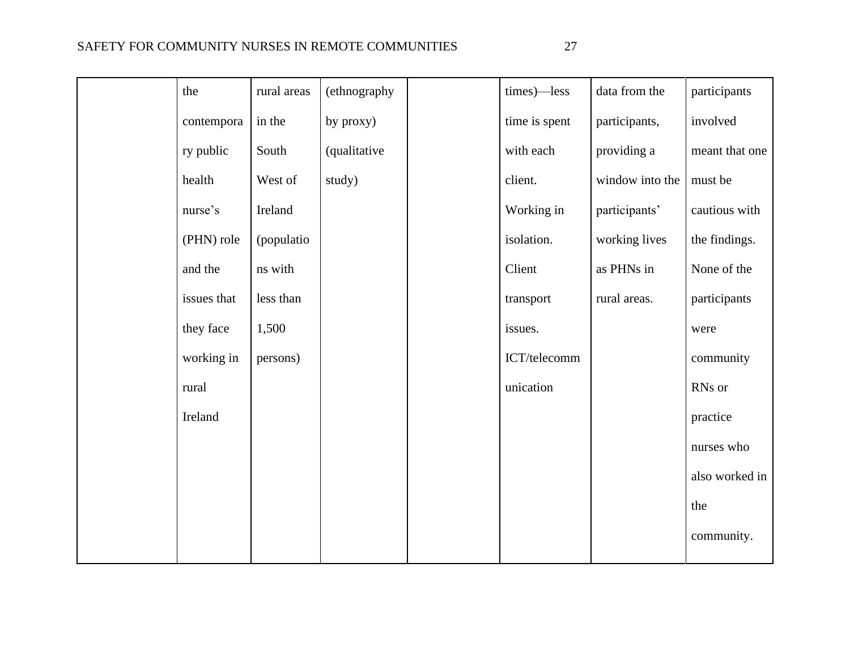| the         | rural areas | (ethnography | times)-less   | data from the   | participants   |
|-------------|-------------|--------------|---------------|-----------------|----------------|
| contempora  | in the      | by proxy)    | time is spent | participants,   | involved       |
| ry public   | South       | (qualitative | with each     | providing a     | meant that one |
| health      | West of     | study)       | client.       | window into the | must be        |
| nurse's     | Ireland     |              | Working in    | participants'   | cautious with  |
| (PHN) role  | (populatio  |              | isolation.    | working lives   | the findings.  |
| and the     | ns with     |              | Client        | as PHNs in      | None of the    |
| issues that | less than   |              | transport     | rural areas.    | participants   |
| they face   | 1,500       |              | issues.       |                 | were           |
| working in  | persons)    |              | ICT/telecomm  |                 | community      |
| rural       |             |              | unication     |                 | RNs or         |
| Ireland     |             |              |               |                 | practice       |
|             |             |              |               |                 | nurses who     |
|             |             |              |               |                 | also worked in |
|             |             |              |               |                 | the            |
|             |             |              |               |                 | community.     |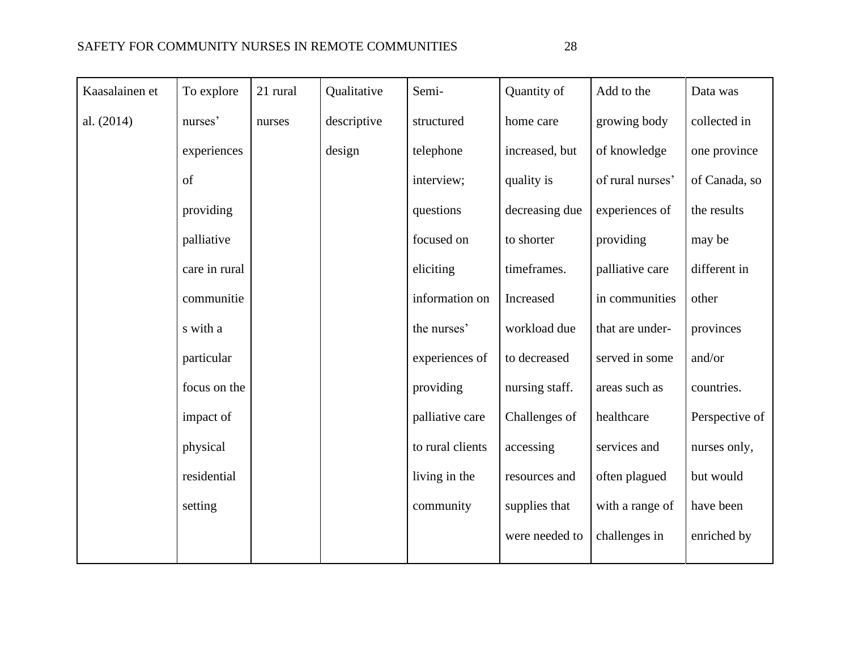| Kaasalainen et | To explore    | 21 rural | Qualitative | Semi-            | Quantity of    | Add to the       | Data was       |
|----------------|---------------|----------|-------------|------------------|----------------|------------------|----------------|
| al. (2014)     | nurses'       | nurses   | descriptive | structured       | home care      | growing body     | collected in   |
|                | experiences   |          | design      | telephone        | increased, but | of knowledge     | one province   |
|                | of            |          |             | interview;       | quality is     | of rural nurses' | of Canada, so  |
|                | providing     |          |             | questions        | decreasing due | experiences of   | the results    |
|                | palliative    |          |             | focused on       | to shorter     | providing        | may be         |
|                | care in rural |          |             | eliciting        | timeframes.    | palliative care  | different in   |
|                | communitie    |          |             | information on   | Increased      | in communities   | other          |
|                | s with a      |          |             | the nurses'      | workload due   | that are under-  | provinces      |
|                | particular    |          |             | experiences of   | to decreased   | served in some   | and/or         |
|                | focus on the  |          |             | providing        | nursing staff. | areas such as    | countries.     |
|                | impact of     |          |             | palliative care  | Challenges of  | healthcare       | Perspective of |
|                | physical      |          |             | to rural clients | accessing      | services and     | nurses only,   |
|                | residential   |          |             | living in the    | resources and  | often plagued    | but would      |
|                | setting       |          |             | community        | supplies that  | with a range of  | have been      |
|                |               |          |             |                  | were needed to | challenges in    | enriched by    |
|                |               |          |             |                  |                |                  |                |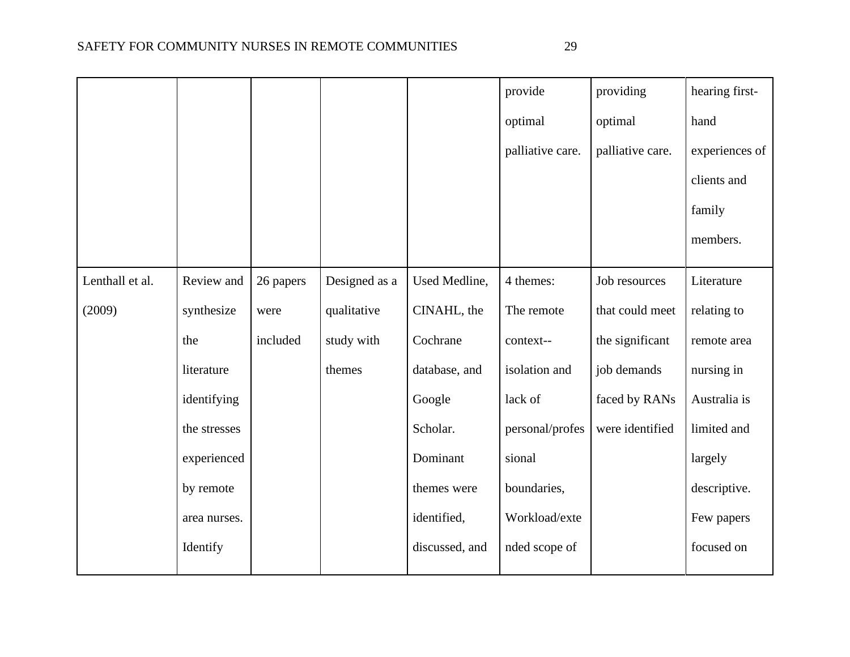|                 |              |           |               |                | provide          | providing        | hearing first- |
|-----------------|--------------|-----------|---------------|----------------|------------------|------------------|----------------|
|                 |              |           |               |                | optimal          | optimal          | hand           |
|                 |              |           |               |                | palliative care. | palliative care. | experiences of |
|                 |              |           |               |                |                  |                  | clients and    |
|                 |              |           |               |                |                  |                  | family         |
|                 |              |           |               |                |                  |                  | members.       |
| Lenthall et al. | Review and   | 26 papers | Designed as a | Used Medline,  | 4 themes:        | Job resources    | Literature     |
| (2009)          | synthesize   | were      | qualitative   | CINAHL, the    | The remote       | that could meet  | relating to    |
|                 | the          | included  | study with    | Cochrane       | context--        | the significant  | remote area    |
|                 | literature   |           | themes        | database, and  | isolation and    | job demands      | nursing in     |
|                 | identifying  |           |               | Google         | lack of          | faced by RANs    | Australia is   |
|                 | the stresses |           |               | Scholar.       | personal/profes  | were identified  | limited and    |
|                 | experienced  |           |               | Dominant       | sional           |                  | largely        |
|                 | by remote    |           |               | themes were    | boundaries,      |                  | descriptive.   |
|                 | area nurses. |           |               | identified,    | Workload/exte    |                  | Few papers     |
|                 | Identify     |           |               | discussed, and | nded scope of    |                  | focused on     |
|                 |              |           |               |                |                  |                  |                |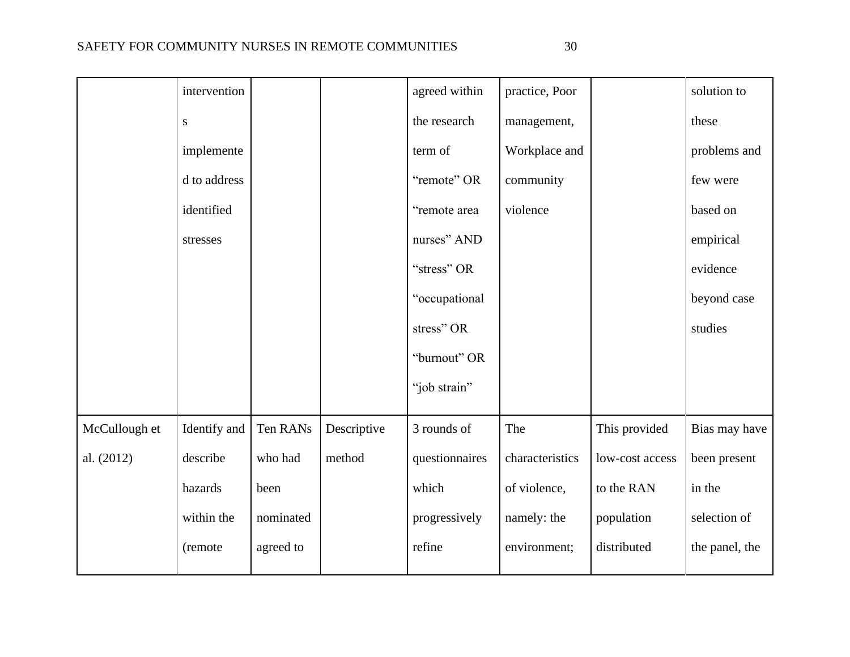|               | intervention |           |             | agreed within  | practice, Poor  |                 | solution to    |
|---------------|--------------|-----------|-------------|----------------|-----------------|-----------------|----------------|
|               | ${\bf S}$    |           |             | the research   | management,     |                 | these          |
|               | implemente   |           |             | term of        | Workplace and   |                 | problems and   |
|               | d to address |           |             | "remote" OR    | community       |                 | few were       |
|               | identified   |           |             | "remote area   | violence        |                 | based on       |
|               | stresses     |           |             | nurses" AND    |                 |                 | empirical      |
|               |              |           |             | "stress" OR    |                 |                 | evidence       |
|               |              |           |             | "occupational  |                 |                 | beyond case    |
|               |              |           |             | stress" OR     |                 |                 | studies        |
|               |              |           |             | "burnout" OR   |                 |                 |                |
|               |              |           |             | "job strain"   |                 |                 |                |
| McCullough et | Identify and | Ten RANs  | Descriptive | 3 rounds of    | The             | This provided   | Bias may have  |
|               |              |           |             |                |                 |                 |                |
| al. (2012)    | describe     | who had   | method      | questionnaires | characteristics | low-cost access | been present   |
|               | hazards      | been      |             | which          | of violence,    | to the RAN      | in the         |
|               | within the   | nominated |             | progressively  | namely: the     | population      | selection of   |
|               | (remote      | agreed to |             | refine         | environment;    | distributed     | the panel, the |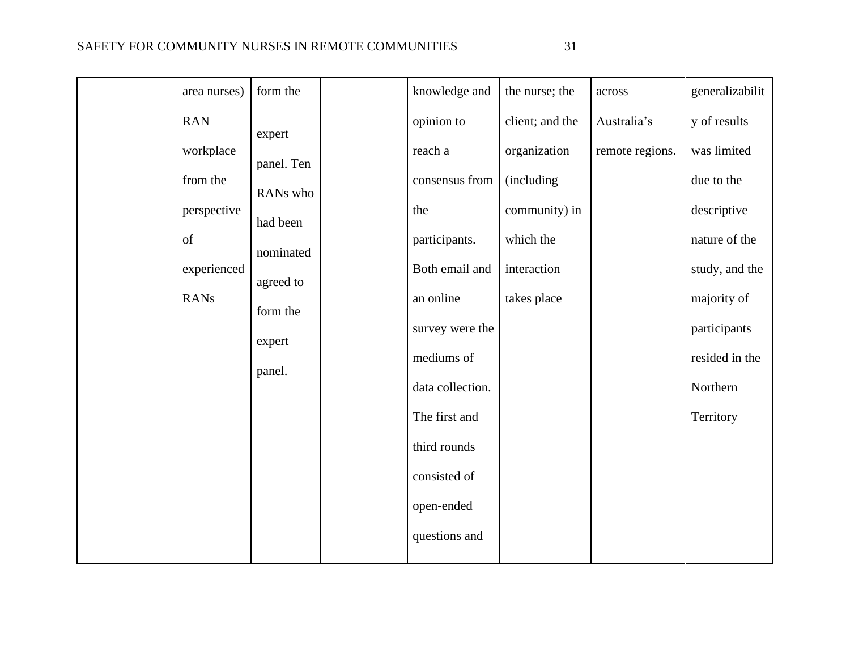| ۰.<br>×<br>٠ |  |
|--------------|--|

| area nurses) | form the   | knowledge and    | the nurse; the  | across          | generalizabilit |
|--------------|------------|------------------|-----------------|-----------------|-----------------|
| <b>RAN</b>   | expert     | opinion to       | client; and the | Australia's     | y of results    |
| workplace    | panel. Ten | reach a          | organization    | remote regions. | was limited     |
| from the     | RANs who   | consensus from   | (including      |                 | due to the      |
| perspective  | had been   | the              | community) in   |                 | descriptive     |
| of           | nominated  | participants.    | which the       |                 | nature of the   |
| experienced  | agreed to  | Both email and   | interaction     |                 | study, and the  |
| <b>RANs</b>  | form the   | an online        | takes place     |                 | majority of     |
|              | expert     | survey were the  |                 |                 | participants    |
|              | panel.     | mediums of       |                 |                 | resided in the  |
|              |            | data collection. |                 |                 | Northern        |
|              |            | The first and    |                 |                 | Territory       |
|              |            | third rounds     |                 |                 |                 |
|              |            | consisted of     |                 |                 |                 |
|              |            | open-ended       |                 |                 |                 |
|              |            | questions and    |                 |                 |                 |
|              |            |                  |                 |                 |                 |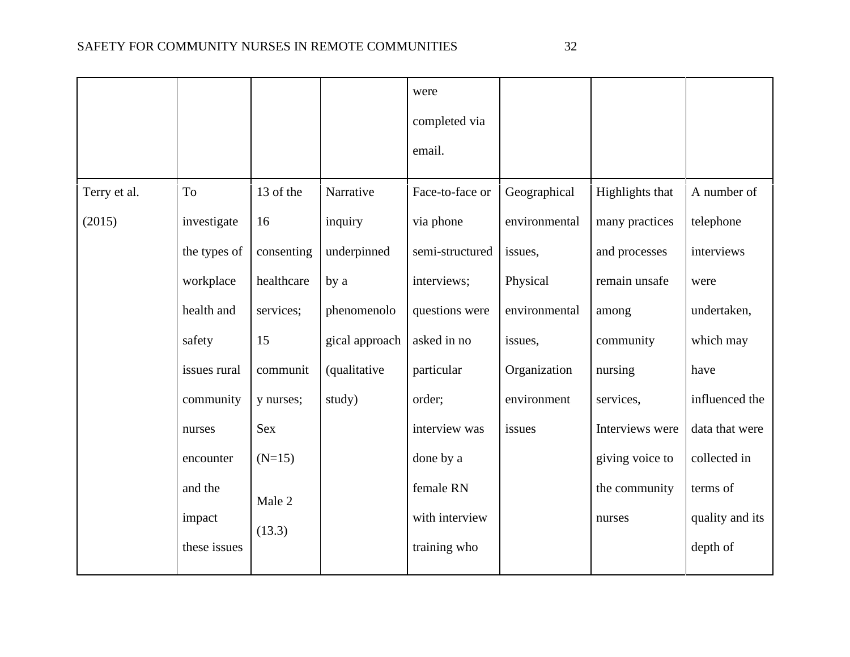|              |              |            |                      | were            |               |                        |                 |
|--------------|--------------|------------|----------------------|-----------------|---------------|------------------------|-----------------|
|              |              |            |                      | completed via   |               |                        |                 |
|              |              |            |                      | email.          |               |                        |                 |
| Terry et al. | To           | 13 of the  | Narrative            | Face-to-face or | Geographical  | <b>Highlights that</b> | A number of     |
| (2015)       | investigate  | 16         | inquiry              | via phone       | environmental | many practices         | telephone       |
|              | the types of | consenting | underpinned          | semi-structured | issues,       | and processes          | interviews      |
|              | workplace    | healthcare | by a                 | interviews;     | Physical      | remain unsafe          | were            |
|              | health and   | services;  | phenomenolo          | questions were  | environmental | among                  | undertaken,     |
|              | safety       | 15         | gical approach       | asked in no     | issues,       | community              | which may       |
|              | issues rural | communit   | <i>(qualitative)</i> | particular      | Organization  | nursing                | have            |
|              | community    | y nurses;  | study)               | order;          | environment   | services,              | influenced the  |
|              | nurses       | Sex        |                      | interview was   | issues        | Interviews were        | data that were  |
|              | encounter    | $(N=15)$   |                      | done by a       |               | giving voice to        | collected in    |
|              | and the      |            |                      | female RN       |               | the community          | terms of        |
|              | impact       | Male 2     |                      | with interview  |               | nurses                 | quality and its |
|              | these issues | (13.3)     |                      | training who    |               |                        | depth of        |